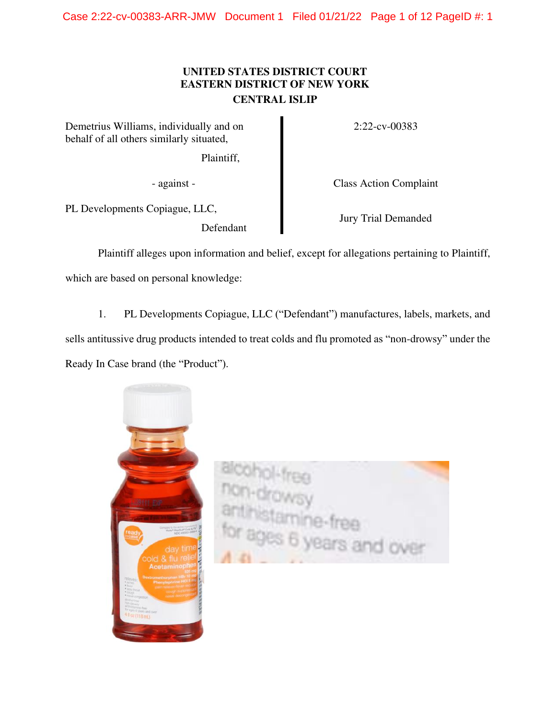# **UNITED STATES DISTRICT COURT EASTERN DISTRICT OF NEW YORK CENTRAL ISLIP**

Demetrius Williams, individually and on behalf of all others similarly situated,

Plaintiff,

PL Developments Copiague, LLC,

Defendant

2:22-cv-00383

- against - Class Action Complaint

Jury Trial Demanded

Plaintiff alleges upon information and belief, except for allegations pertaining to Plaintiff, which are based on personal knowledge:

1. PL Developments Copiague, LLC ("Defendant") manufactures, labels, markets, and sells antitussive drug products intended to treat colds and flu promoted as "non-drowsy" under the Ready In Case brand (the "Product").



s 6 years and over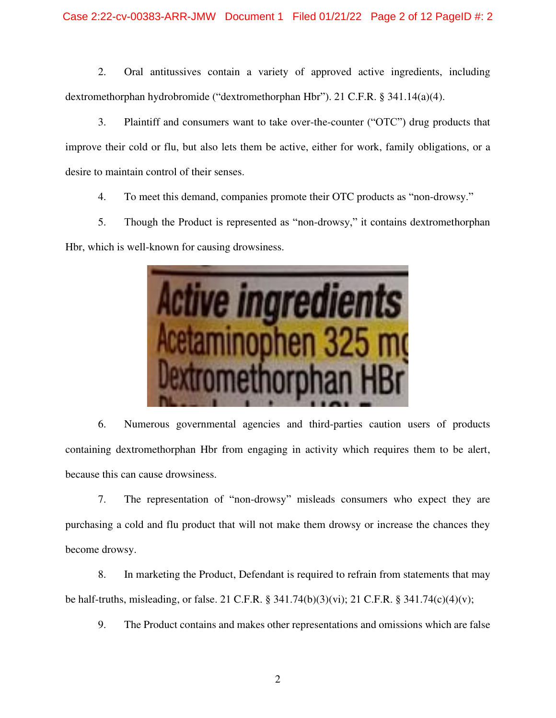2. Oral antitussives contain a variety of approved active ingredients, including dextromethorphan hydrobromide ("dextromethorphan Hbr"). 21 C.F.R. § 341.14(a)(4).

3. Plaintiff and consumers want to take over-the-counter ("OTC") drug products that improve their cold or flu, but also lets them be active, either for work, family obligations, or a desire to maintain control of their senses.

4. To meet this demand, companies promote their OTC products as "non-drowsy."

5. Though the Product is represented as "non-drowsy," it contains dextromethorphan Hbr, which is well-known for causing drowsiness.



6. Numerous governmental agencies and third-parties caution users of products containing dextromethorphan Hbr from engaging in activity which requires them to be alert, because this can cause drowsiness.

7. The representation of "non-drowsy" misleads consumers who expect they are purchasing a cold and flu product that will not make them drowsy or increase the chances they become drowsy.

8. In marketing the Product, Defendant is required to refrain from statements that may be half-truths, misleading, or false. 21 C.F.R. § 341.74(b)(3)(vi); 21 C.F.R. § 341.74(c)(4)(v);

9. The Product contains and makes other representations and omissions which are false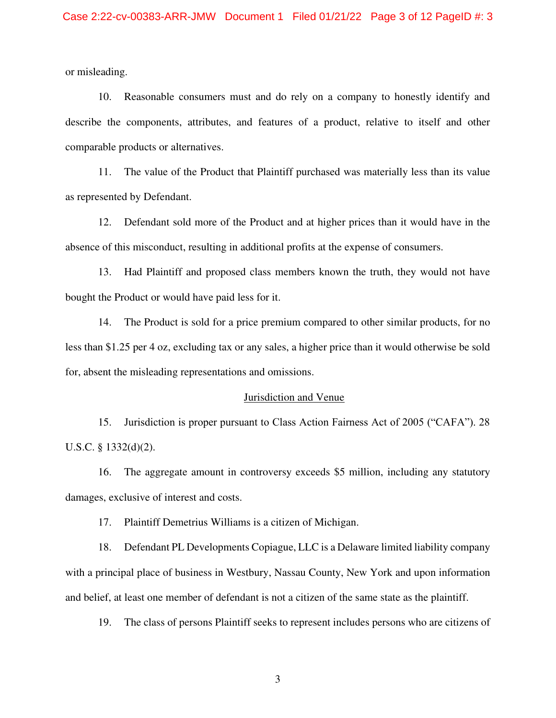or misleading.

10. Reasonable consumers must and do rely on a company to honestly identify and describe the components, attributes, and features of a product, relative to itself and other comparable products or alternatives.

11. The value of the Product that Plaintiff purchased was materially less than its value as represented by Defendant.

12. Defendant sold more of the Product and at higher prices than it would have in the absence of this misconduct, resulting in additional profits at the expense of consumers.

13. Had Plaintiff and proposed class members known the truth, they would not have bought the Product or would have paid less for it.

14. The Product is sold for a price premium compared to other similar products, for no less than \$1.25 per 4 oz, excluding tax or any sales, a higher price than it would otherwise be sold for, absent the misleading representations and omissions.

#### Jurisdiction and Venue

15. Jurisdiction is proper pursuant to Class Action Fairness Act of 2005 ("CAFA"). 28 U.S.C. § 1332(d)(2).

16. The aggregate amount in controversy exceeds \$5 million, including any statutory damages, exclusive of interest and costs.

17. Plaintiff Demetrius Williams is a citizen of Michigan.

18. Defendant PL Developments Copiague, LLC is a Delaware limited liability company with a principal place of business in Westbury, Nassau County, New York and upon information and belief, at least one member of defendant is not a citizen of the same state as the plaintiff.

19. The class of persons Plaintiff seeks to represent includes persons who are citizens of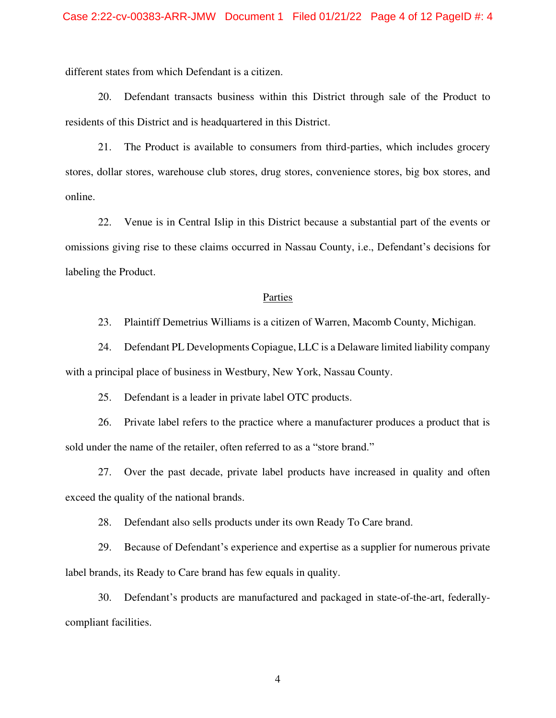different states from which Defendant is a citizen.

20. Defendant transacts business within this District through sale of the Product to residents of this District and is headquartered in this District.

21. The Product is available to consumers from third-parties, which includes grocery stores, dollar stores, warehouse club stores, drug stores, convenience stores, big box stores, and online.

22. Venue is in Central Islip in this District because a substantial part of the events or omissions giving rise to these claims occurred in Nassau County, i.e., Defendant's decisions for labeling the Product.

#### Parties

23. Plaintiff Demetrius Williams is a citizen of Warren, Macomb County, Michigan.

24. Defendant PL Developments Copiague, LLC is a Delaware limited liability company with a principal place of business in Westbury, New York, Nassau County.

25. Defendant is a leader in private label OTC products.

26. Private label refers to the practice where a manufacturer produces a product that is sold under the name of the retailer, often referred to as a "store brand."

27. Over the past decade, private label products have increased in quality and often exceed the quality of the national brands.

28. Defendant also sells products under its own Ready To Care brand.

29. Because of Defendant's experience and expertise as a supplier for numerous private label brands, its Ready to Care brand has few equals in quality.

30. Defendant's products are manufactured and packaged in state-of-the-art, federallycompliant facilities.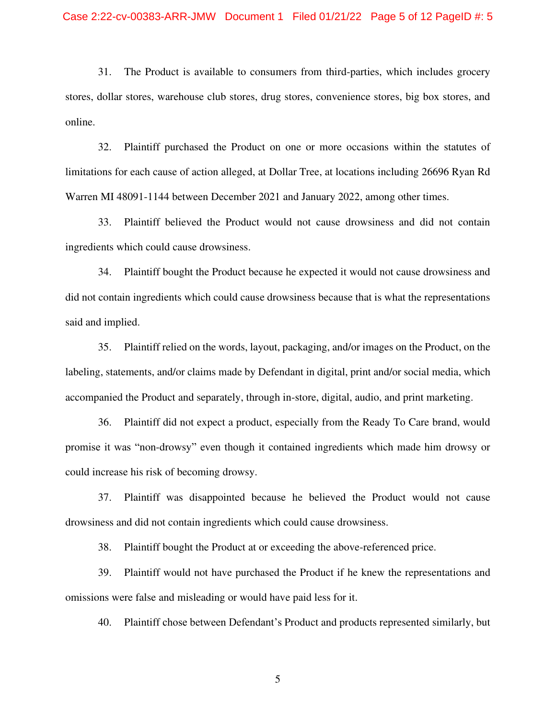31. The Product is available to consumers from third-parties, which includes grocery stores, dollar stores, warehouse club stores, drug stores, convenience stores, big box stores, and online.

32. Plaintiff purchased the Product on one or more occasions within the statutes of limitations for each cause of action alleged, at Dollar Tree, at locations including 26696 Ryan Rd Warren MI 48091-1144 between December 2021 and January 2022, among other times.

33. Plaintiff believed the Product would not cause drowsiness and did not contain ingredients which could cause drowsiness.

34. Plaintiff bought the Product because he expected it would not cause drowsiness and did not contain ingredients which could cause drowsiness because that is what the representations said and implied.

35. Plaintiff relied on the words, layout, packaging, and/or images on the Product, on the labeling, statements, and/or claims made by Defendant in digital, print and/or social media, which accompanied the Product and separately, through in-store, digital, audio, and print marketing.

36. Plaintiff did not expect a product, especially from the Ready To Care brand, would promise it was "non-drowsy" even though it contained ingredients which made him drowsy or could increase his risk of becoming drowsy.

37. Plaintiff was disappointed because he believed the Product would not cause drowsiness and did not contain ingredients which could cause drowsiness.

38. Plaintiff bought the Product at or exceeding the above-referenced price.

39. Plaintiff would not have purchased the Product if he knew the representations and omissions were false and misleading or would have paid less for it.

40. Plaintiff chose between Defendant's Product and products represented similarly, but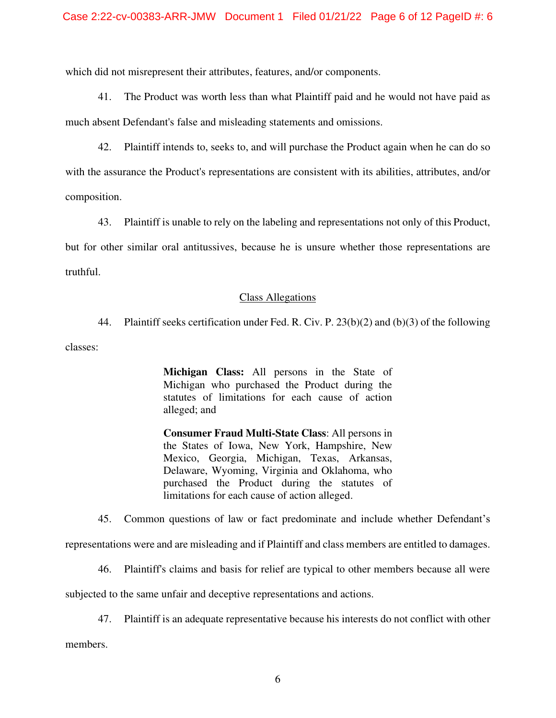which did not misrepresent their attributes, features, and/or components.

41. The Product was worth less than what Plaintiff paid and he would not have paid as much absent Defendant's false and misleading statements and omissions.

42. Plaintiff intends to, seeks to, and will purchase the Product again when he can do so with the assurance the Product's representations are consistent with its abilities, attributes, and/or composition.

43. Plaintiff is unable to rely on the labeling and representations not only of this Product,

but for other similar oral antitussives, because he is unsure whether those representations are truthful.

#### Class Allegations

44. Plaintiff seeks certification under Fed. R. Civ. P. 23(b)(2) and (b)(3) of the following

classes:

**Michigan Class:** All persons in the State of Michigan who purchased the Product during the statutes of limitations for each cause of action alleged; and

**Consumer Fraud Multi-State Class**: All persons in the States of Iowa, New York, Hampshire, New Mexico, Georgia, Michigan, Texas, Arkansas, Delaware, Wyoming, Virginia and Oklahoma, who purchased the Product during the statutes of limitations for each cause of action alleged.

45. Common questions of law or fact predominate and include whether Defendant's

representations were and are misleading and if Plaintiff and class members are entitled to damages.

46. Plaintiff's claims and basis for relief are typical to other members because all were

subjected to the same unfair and deceptive representations and actions.

47. Plaintiff is an adequate representative because his interests do not conflict with other

members.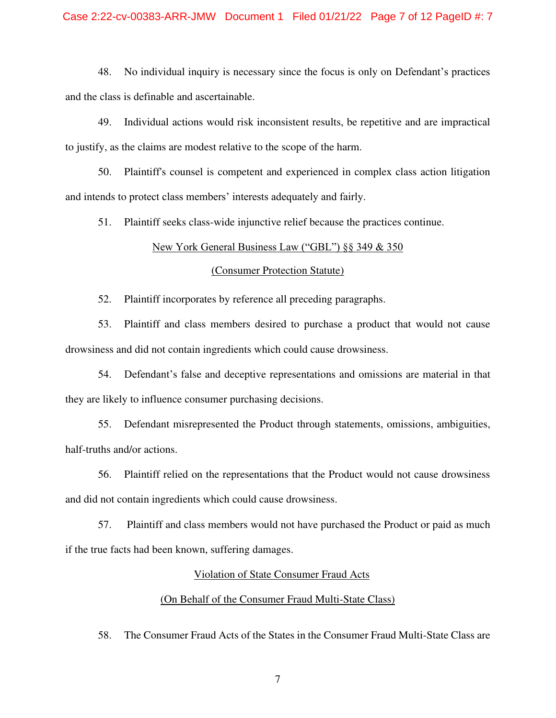48. No individual inquiry is necessary since the focus is only on Defendant's practices and the class is definable and ascertainable.

49. Individual actions would risk inconsistent results, be repetitive and are impractical to justify, as the claims are modest relative to the scope of the harm.

50. Plaintiff's counsel is competent and experienced in complex class action litigation and intends to protect class members' interests adequately and fairly.

51. Plaintiff seeks class-wide injunctive relief because the practices continue.

#### New York General Business Law ("GBL") §§ 349 & 350

#### (Consumer Protection Statute)

52. Plaintiff incorporates by reference all preceding paragraphs.

53. Plaintiff and class members desired to purchase a product that would not cause drowsiness and did not contain ingredients which could cause drowsiness.

54. Defendant's false and deceptive representations and omissions are material in that they are likely to influence consumer purchasing decisions.

55. Defendant misrepresented the Product through statements, omissions, ambiguities, half-truths and/or actions.

56. Plaintiff relied on the representations that the Product would not cause drowsiness and did not contain ingredients which could cause drowsiness.

57. Plaintiff and class members would not have purchased the Product or paid as much if the true facts had been known, suffering damages.

#### Violation of State Consumer Fraud Acts

## (On Behalf of the Consumer Fraud Multi-State Class)

58. The Consumer Fraud Acts of the States in the Consumer Fraud Multi-State Class are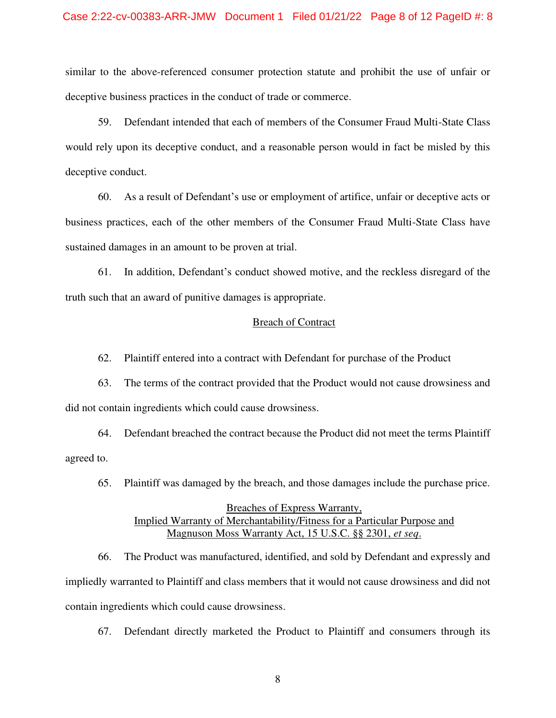#### Case 2:22-cv-00383-ARR-JMW Document 1 Filed 01/21/22 Page 8 of 12 PageID #: 8

similar to the above-referenced consumer protection statute and prohibit the use of unfair or deceptive business practices in the conduct of trade or commerce.

59. Defendant intended that each of members of the Consumer Fraud Multi-State Class would rely upon its deceptive conduct, and a reasonable person would in fact be misled by this deceptive conduct.

60. As a result of Defendant's use or employment of artifice, unfair or deceptive acts or business practices, each of the other members of the Consumer Fraud Multi-State Class have sustained damages in an amount to be proven at trial.

61. In addition, Defendant's conduct showed motive, and the reckless disregard of the truth such that an award of punitive damages is appropriate.

#### Breach of Contract

62. Plaintiff entered into a contract with Defendant for purchase of the Product

63. The terms of the contract provided that the Product would not cause drowsiness and did not contain ingredients which could cause drowsiness.

64. Defendant breached the contract because the Product did not meet the terms Plaintiff agreed to.

65. Plaintiff was damaged by the breach, and those damages include the purchase price.

### Breaches of Express Warranty, Implied Warranty of Merchantability/Fitness for a Particular Purpose and Magnuson Moss Warranty Act, 15 U.S.C. §§ 2301, *et seq*.

66. The Product was manufactured, identified, and sold by Defendant and expressly and impliedly warranted to Plaintiff and class members that it would not cause drowsiness and did not contain ingredients which could cause drowsiness.

67. Defendant directly marketed the Product to Plaintiff and consumers through its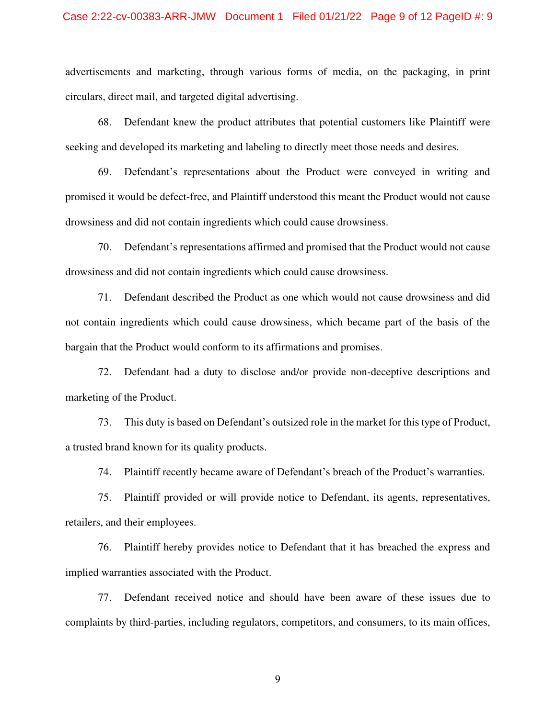advertisements and marketing, through various forms of media, on the packaging, in print circulars, direct mail, and targeted digital advertising.

68. Defendant knew the product attributes that potential customers like Plaintiff were seeking and developed its marketing and labeling to directly meet those needs and desires.

69. Defendant's representations about the Product were conveyed in writing and promised it would be defect-free, and Plaintiff understood this meant the Product would not cause drowsiness and did not contain ingredients which could cause drowsiness.

70. Defendant's representations affirmed and promised that the Product would not cause drowsiness and did not contain ingredients which could cause drowsiness.

71. Defendant described the Product as one which would not cause drowsiness and did not contain ingredients which could cause drowsiness, which became part of the basis of the bargain that the Product would conform to its affirmations and promises.

72. Defendant had a duty to disclose and/or provide non-deceptive descriptions and marketing of the Product.

73. This duty is based on Defendant's outsized role in the market for this type of Product, a trusted brand known for its quality products.

74. Plaintiff recently became aware of Defendant's breach of the Product's warranties.

75. Plaintiff provided or will provide notice to Defendant, its agents, representatives, retailers, and their employees.

76. Plaintiff hereby provides notice to Defendant that it has breached the express and implied warranties associated with the Product.

77. Defendant received notice and should have been aware of these issues due to complaints by third-parties, including regulators, competitors, and consumers, to its main offices,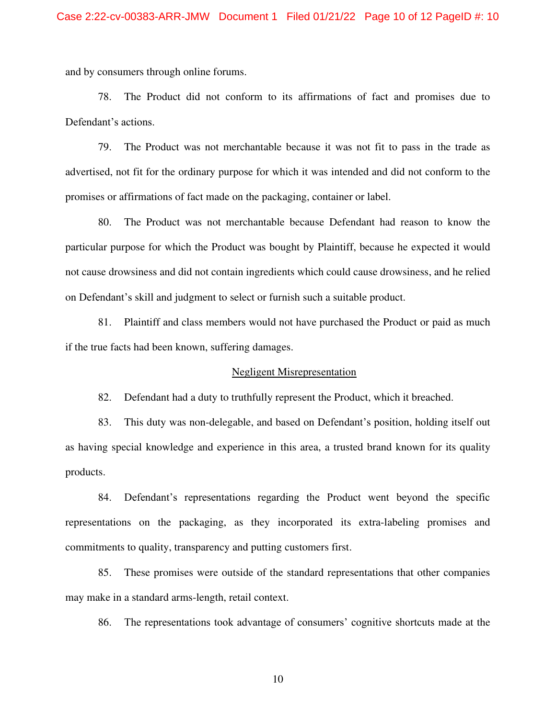and by consumers through online forums.

78. The Product did not conform to its affirmations of fact and promises due to Defendant's actions.

79. The Product was not merchantable because it was not fit to pass in the trade as advertised, not fit for the ordinary purpose for which it was intended and did not conform to the promises or affirmations of fact made on the packaging, container or label.

80. The Product was not merchantable because Defendant had reason to know the particular purpose for which the Product was bought by Plaintiff, because he expected it would not cause drowsiness and did not contain ingredients which could cause drowsiness, and he relied on Defendant's skill and judgment to select or furnish such a suitable product.

81. Plaintiff and class members would not have purchased the Product or paid as much if the true facts had been known, suffering damages.

#### Negligent Misrepresentation

82. Defendant had a duty to truthfully represent the Product, which it breached.

83. This duty was non-delegable, and based on Defendant's position, holding itself out as having special knowledge and experience in this area, a trusted brand known for its quality products.

84. Defendant's representations regarding the Product went beyond the specific representations on the packaging, as they incorporated its extra-labeling promises and commitments to quality, transparency and putting customers first.

85. These promises were outside of the standard representations that other companies may make in a standard arms-length, retail context.

86. The representations took advantage of consumers' cognitive shortcuts made at the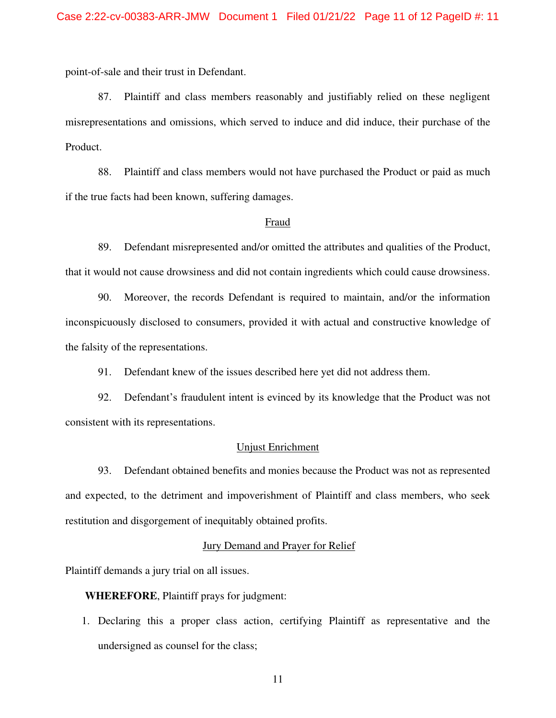point-of-sale and their trust in Defendant.

87. Plaintiff and class members reasonably and justifiably relied on these negligent misrepresentations and omissions, which served to induce and did induce, their purchase of the Product.

88. Plaintiff and class members would not have purchased the Product or paid as much if the true facts had been known, suffering damages.

#### Fraud

89. Defendant misrepresented and/or omitted the attributes and qualities of the Product, that it would not cause drowsiness and did not contain ingredients which could cause drowsiness.

90. Moreover, the records Defendant is required to maintain, and/or the information inconspicuously disclosed to consumers, provided it with actual and constructive knowledge of the falsity of the representations.

91. Defendant knew of the issues described here yet did not address them.

92. Defendant's fraudulent intent is evinced by its knowledge that the Product was not consistent with its representations.

#### Unjust Enrichment

93. Defendant obtained benefits and monies because the Product was not as represented and expected, to the detriment and impoverishment of Plaintiff and class members, who seek restitution and disgorgement of inequitably obtained profits.

### Jury Demand and Prayer for Relief

Plaintiff demands a jury trial on all issues.

**WHEREFORE**, Plaintiff prays for judgment:

1. Declaring this a proper class action, certifying Plaintiff as representative and the undersigned as counsel for the class;